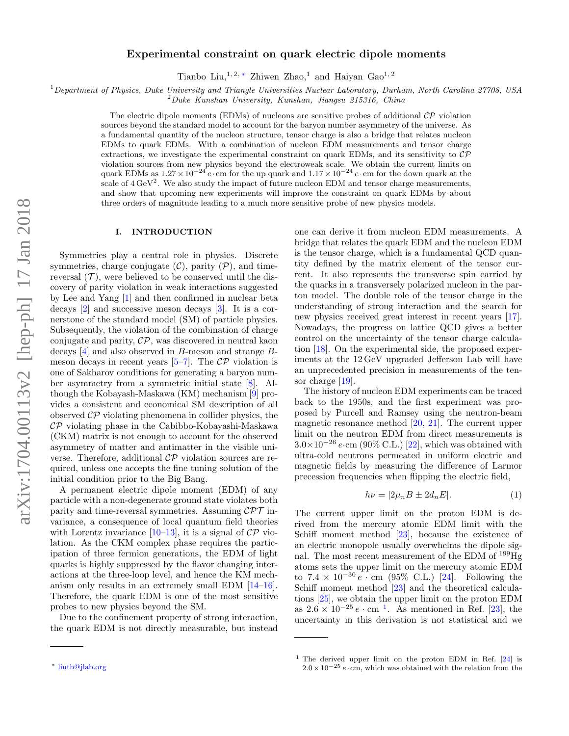# Experimental constraint on quark electric dipole moments

Tianbo Liu, <sup>1, 2, [∗](#page-0-0)</sup> Zhiwen Zhao,<sup>1</sup> and Haiyan Gao<sup>1, 2</sup>

<sup>1</sup>Department of Physics, Duke University and Triangle Universities Nuclear Laboratory, Durham, North Carolina 27708, USA

 $2Duke$  Kunshan University, Kunshan, Jiangsu 215316, China

The electric dipole moments (EDMs) of nucleons are sensitive probes of additional  $\mathcal{CP}$  violation sources beyond the standard model to account for the baryon number asymmetry of the universe. As a fundamental quantity of the nucleon structure, tensor charge is also a bridge that relates nucleon EDMs to quark EDMs. With a combination of nucleon EDM measurements and tensor charge extractions, we investigate the experimental constraint on quark EDMs, and its sensitivity to  $\mathcal{CP}$ violation sources from new physics beyond the electroweak scale. We obtain the current limits on quark EDMs as  $1.27 \times 10^{-24} e$  · cm for the up quark and  $1.17 \times 10^{-24} e$  · cm for the down quark at the scale of  $4 \text{ GeV}^2$ . We also study the impact of future nucleon EDM and tensor charge measurements, and show that upcoming new experiments will improve the constraint on quark EDMs by about three orders of magnitude leading to a much more sensitive probe of new physics models.

### I. INTRODUCTION

Symmetries play a central role in physics. Discrete symmetries, charge conjugate  $(C)$ , parity  $(\mathcal{P})$ , and timereversal  $(\mathcal{T})$ , were believed to be conserved until the discovery of parity violation in weak interactions suggested by Lee and Yang [\[1\]](#page-6-0) and then confirmed in nuclear beta decays [\[2\]](#page-6-1) and successive meson decays [\[3\]](#page-6-2). It is a cornerstone of the standard model (SM) of particle physics. Subsequently, the violation of the combination of charge conjugate and parity,  $\mathcal{CP}$ , was discovered in neutral kaon decays [\[4\]](#page-6-3) and also observed in B-meson and strange Bmeson decays in recent years  $[5-7]$  $[5-7]$ . The  $\mathcal{CP}$  violation is one of Sakharov conditions for generating a baryon number asymmetry from a symmetric initial state [\[8\]](#page-6-6). Although the Kobayash-Maskawa (KM) mechanism [\[9\]](#page-6-7) provides a consistent and economical SM description of all observed  $\mathcal{CP}$  violating phenomena in collider physics, the  $\mathcal{CP}$  violating phase in the Cabibbo-Kobayashi-Maskawa (CKM) matrix is not enough to account for the observed asymmetry of matter and antimatter in the visible universe. Therefore, additional  $\mathcal{CP}$  violation sources are required, unless one accepts the fine tuning solution of the initial condition prior to the Big Bang.

A permanent electric dipole moment (EDM) of any particle with a non-degenerate ground state violates both parity and time-reversal symmetries. Assuming  $\mathcal{CPT}$  invariance, a consequence of local quantum field theories with Lorentz invariance  $[10-13]$ , it is a signal of  $\mathcal{CP}$  violation. As the CKM complex phase requires the participation of three fermion generations, the EDM of light quarks is highly suppressed by the flavor changing interactions at the three-loop level, and hence the KM mechanism only results in an extremely small EDM [\[14–](#page-6-10)[16\]](#page-6-11). Therefore, the quark EDM is one of the most sensitive probes to new physics beyond the SM.

Due to the confinement property of strong interaction, the quark EDM is not directly measurable, but instead one can derive it from nucleon EDM measurements. A bridge that relates the quark EDM and the nucleon EDM is the tensor charge, which is a fundamental QCD quantity defined by the matrix element of the tensor current. It also represents the transverse spin carried by the quarks in a transversely polarized nucleon in the parton model. The double role of the tensor charge in the understanding of strong interaction and the search for new physics received great interest in recent years [\[17\]](#page-6-12). Nowadays, the progress on lattice QCD gives a better control on the uncertainty of the tensor charge calculation [\[18\]](#page-7-0). On the experimental side, the proposed experiments at the 12 GeV upgraded Jefferson Lab will have an unprecedented precision in measurements of the tensor charge [\[19\]](#page-7-1).

The history of nucleon EDM experiments can be traced back to the 1950s, and the first experiment was proposed by Purcell and Ramsey using the neutron-beam magnetic resonance method [\[20,](#page-7-2) [21\]](#page-7-3). The current upper limit on the neutron EDM from direct measurements is  $3.0\times10^{-26}$  e·cm (90% C.L.) [\[22\]](#page-7-4), which was obtained with ultra-cold neutrons permeated in uniform electric and magnetic fields by measuring the difference of Larmor precession frequencies when flipping the electric field,

$$
h\nu = |2\mu_n B \pm 2d_n E|.
$$
 (1)

The current upper limit on the proton EDM is derived from the mercury atomic EDM limit with the Schiff moment method [\[23\]](#page-7-5), because the existence of an electric monopole usually overwhelms the dipole signal. The most recent measurement of the EDM of <sup>199</sup>Hg atoms sets the upper limit on the mercury atomic EDM to  $7.4 \times 10^{-30} e \cdot \text{cm}$  (95% C.L.) [\[24\]](#page-7-6). Following the Schiff moment method [\[23\]](#page-7-5) and the theoretical calculations [\[25\]](#page-7-7), we obtain the upper limit on the proton EDM as  $2.6 \times 10^{-25} e \cdot \text{cm}^{-1}$  $2.6 \times 10^{-25} e \cdot \text{cm}^{-1}$  $2.6 \times 10^{-25} e \cdot \text{cm}^{-1}$ . As mentioned in Ref. [\[23\]](#page-7-5), the uncertainty in this derivation is not statistical and we

<span id="page-0-0"></span><sup>∗</sup> [liutb@jlab.org](mailto:liutb@jlab.org)

<span id="page-0-1"></span><sup>1</sup> The derived upper limit on the proton EDM in Ref. [\[24\]](#page-7-6) is  $2.0 \times 10^{-25} e \cdot cm$ , which was obtained with the relation from the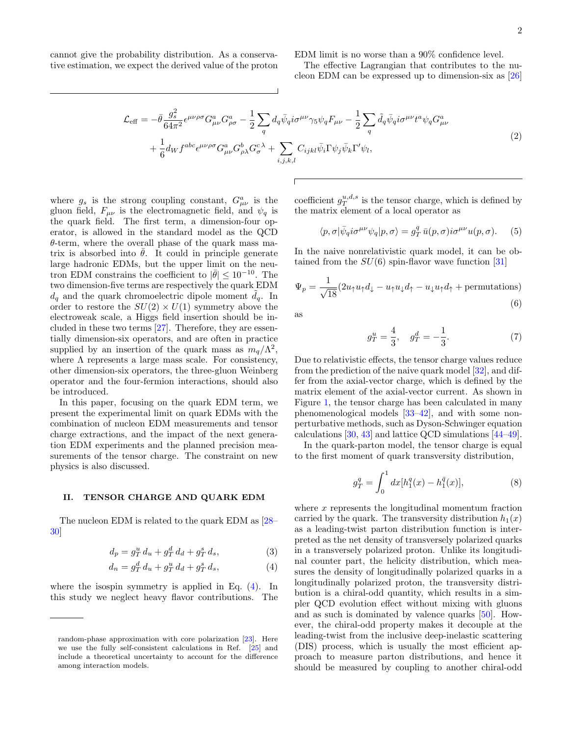cannot give the probability distribution. As a conservative estimation, we expect the derived value of the proton EDM limit is no worse than a 90% confidence level.

The effective Lagrangian that contributes to the nucleon EDM can be expressed up to dimension-six as [\[26\]](#page-7-8)

$$
\mathcal{L}_{\text{eff}} = -\bar{\theta} \frac{g_s^2}{64\pi^2} \epsilon^{\mu\nu\rho\sigma} G^a_{\mu\nu} G^a_{\rho\sigma} - \frac{1}{2} \sum_q d_q \bar{\psi}_q i\sigma^{\mu\nu} \gamma_5 \psi_q F_{\mu\nu} - \frac{1}{2} \sum_q \tilde{d}_q \bar{\psi}_q i\sigma^{\mu\nu} t^a \psi_q G^a_{\mu\nu} + \frac{1}{6} d_W f^{abc} \epsilon^{\mu\nu\rho\sigma} G^a_{\mu\nu} G^b_{\rho\lambda} G^c_{\sigma} + \sum_{i,j,k,l} C_{ijkl} \bar{\psi}_i \Gamma \psi_j \bar{\psi}_k \Gamma' \psi_l,
$$
\n(2)

where  $g_s$  is the strong coupling constant,  $G^a_{\mu\nu}$  is the gluon field,  $F_{\mu\nu}$  is the electromagnetic field, and  $\psi_q$  is the quark field. The first term, a dimension-four operator, is allowed in the standard model as the QCD  $\theta$ -term, where the overall phase of the quark mass matrix is absorbed into  $\theta$ . It could in principle generate large hadronic EDMs, but the upper limit on the neutron EDM constrains the coefficient to  $|\bar{\theta}| \leq 10^{-10}$ . The two dimension-five terms are respectively the quark EDM  $d_q$  and the quark chromoelectric dipole moment  $d_q$ . In order to restore the  $SU(2) \times U(1)$  symmetry above the electroweak scale, a Higgs field insertion should be included in these two terms [\[27\]](#page-7-9). Therefore, they are essentially dimension-six operators, and are often in practice supplied by an insertion of the quark mass as  $m_q/\Lambda^2$ , where  $\Lambda$  represents a large mass scale. For consistency, other dimension-six operators, the three-gluon Weinberg operator and the four-fermion interactions, should also be introduced.

In this paper, focusing on the quark EDM term, we present the experimental limit on quark EDMs with the combination of nucleon EDM measurements and tensor charge extractions, and the impact of the next generation EDM experiments and the planned precision measurements of the tensor charge. The constraint on new physics is also discussed.

#### II. TENSOR CHARGE AND QUARK EDM

The nucleon EDM is related to the quark EDM as [\[28–](#page-7-10) [30\]](#page-7-11)

$$
d_p = g_T^u \, d_u + g_T^d \, d_d + g_T^s \, d_s,\tag{3}
$$

$$
d_n = g_T^d \, d_u + g_T^u \, d_d + g_T^s \, d_s,\tag{4}
$$

where the isospin symmetry is applied in Eq. [\(4\)](#page-1-0). In this study we neglect heavy flavor contributions. The

coefficient  $g_T^{u,d,s}$  is the tensor charge, which is defined by the matrix element of a local operator as

$$
\langle p, \sigma | \bar{\psi}_q i \sigma^{\mu\nu} \psi_q | p, \sigma \rangle = g_T^q \bar{u}(p, \sigma) i \sigma^{\mu\nu} u(p, \sigma). \tag{5}
$$

In the naive nonrelativistic quark model, it can be obtained from the  $SU(6)$  spin-flavor wave function [\[31\]](#page-7-12)

$$
\Psi_p = \frac{1}{\sqrt{18}} (2u_\uparrow u_\uparrow d_\downarrow - u_\uparrow u_\downarrow d_\uparrow - u_\downarrow u_\uparrow d_\uparrow + \text{permutations})
$$
\n(6)

as

$$
g_T^u = \frac{4}{3}, \quad g_T^d = -\frac{1}{3}.\tag{7}
$$

Due to relativistic effects, the tensor charge values reduce from the prediction of the naive quark model [\[32\]](#page-7-13), and differ from the axial-vector charge, which is defined by the matrix element of the axial-vector current. As shown in Figure [1,](#page-2-0) the tensor charge has been calculated in many phenomenological models [\[33](#page-7-14)[–42\]](#page-7-15), and with some nonperturbative methods, such as Dyson-Schwinger equation calculations [\[30,](#page-7-11) [43\]](#page-7-16) and lattice QCD simulations [\[44–](#page-7-17)[49\]](#page-7-18).

In the quark-parton model, the tensor charge is equal to the first moment of quark transversity distribution,

$$
g_T^q = \int_0^1 dx [h_1^q(x) - h_1^{\bar{q}}(x)], \tag{8}
$$

<span id="page-1-1"></span><span id="page-1-0"></span>where x represents the longitudinal momentum fraction carried by the quark. The transversity distribution  $h_1(x)$ as a leading-twist parton distribution function is interpreted as the net density of transversely polarized quarks in a transversely polarized proton. Unlike its longitudinal counter part, the helicity distribution, which measures the density of longitudinally polarized quarks in a longitudinally polarized proton, the transversity distribution is a chiral-odd quantity, which results in a simpler QCD evolution effect without mixing with gluons and as such is dominated by valence quarks [\[50\]](#page-7-19). However, the chiral-odd property makes it decouple at the leading-twist from the inclusive deep-inelastic scattering (DIS) process, which is usually the most efficient approach to measure parton distributions, and hence it should be measured by coupling to another chiral-odd

random-phase approximation with core polarization [\[23\]](#page-7-5). Here we use the fully self-consistent calculations in Ref. [\[25\]](#page-7-7) and include a theoretical uncertainty to account for the difference among interaction models.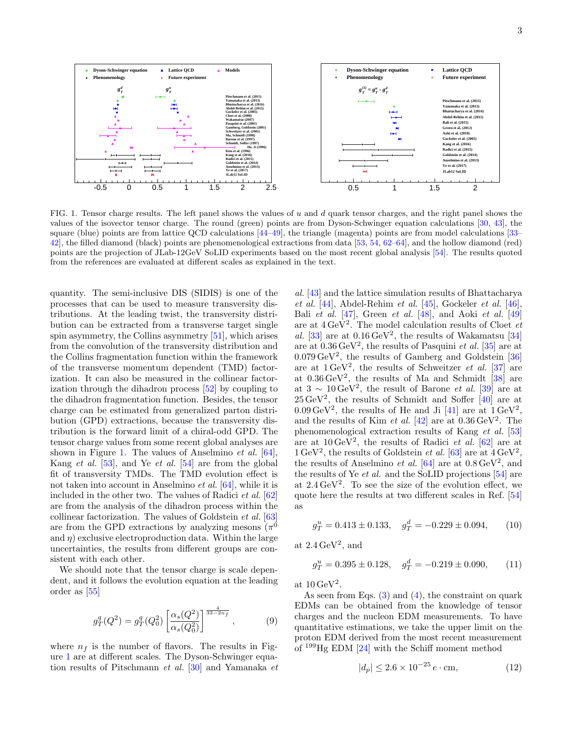

<span id="page-2-0"></span>FIG. 1. Tensor charge results. The left panel shows the values of u and d quark tensor charges, and the right panel shows the values of the isovector tensor charge. The round (green) points are from Dyson-Schwinger equation calculations [\[30,](#page-7-11) [43\]](#page-7-16), the square (blue) points are from lattice QCD calculations [\[44–](#page-7-17)[49\]](#page-7-18), the triangle (magenta) points are from model calculations [\[33–](#page-7-14) [42\]](#page-7-15), the filled diamond (black) points are phenomenological extractions from data [\[53,](#page-7-20) [54,](#page-7-21) [62–](#page-7-22)[64\]](#page-7-23), and the hollow diamond (red) points are the projection of JLab-12GeV SoLID experiments based on the most recent global analysis [\[54\]](#page-7-21). The results quoted from the references are evaluated at different scales as explained in the text.

quantity. The semi-inclusive DIS (SIDIS) is one of the processes that can be used to measure transversity distributions. At the leading twist, the transversity distribution can be extracted from a transverse target single spin asymmetry, the Collins asymmetry [\[51\]](#page-7-24), which arises from the convolution of the transversity distribution and the Collins fragmentation function within the framework of the transverse momentum dependent (TMD) factorization. It can also be measured in the collinear factorization through the dihadron process [\[52\]](#page-7-25) by coupling to the dihadron fragmentation function. Besides, the tensor charge can be estimated from generalized parton distribution (GPD) extractions, because the transversity distribution is the forward limit of a chiral-odd GPD. The tensor charge values from some recent global analyses are shown in Figure [1.](#page-2-0) The values of Anselmino *et al.*  $[64]$ , Kang *et al.* [\[53\]](#page-7-20), and Ye *et al.* [\[54\]](#page-7-21) are from the global fit of transversity TMDs. The TMD evolution effect is not taken into account in Anselmino et al. [\[64\]](#page-7-23), while it is included in the other two. The values of Radici et al. [\[62\]](#page-7-22) are from the analysis of the dihadron process within the collinear factorization. The values of Goldstein et al. [\[63\]](#page-7-26) are from the GPD extractions by analyzing mesons  $(\pi^0)$ and  $\eta$ ) exclusive electroproduction data. Within the large uncertainties, the results from different groups are consistent with each other.

We should note that the tensor charge is scale dependent, and it follows the evolution equation at the leading order as [\[55\]](#page-7-27)

$$
g_T^q(Q^2) = g_T^q(Q_0^2) \left[ \frac{\alpha_s(Q^2)}{\alpha_s(Q_0^2)} \right]^{\frac{4}{33-2n_f}}, \qquad (9)
$$

where  $n_f$  is the number of flavors. The results in Figure [1](#page-2-0) are at different scales. The Dyson-Schwinger equation results of Pitschmann et al. [\[30\]](#page-7-11) and Yamanaka et

al. [\[43\]](#page-7-16) and the lattice simulation results of Bhattacharya et al.  $[44]$ , Abdel-Rehim et al.  $[45]$ , Gockeler et al.  $[46]$ , Bali et al.  $[47]$ , Green et al.  $[48]$ , and Aoki et al.  $[49]$ are at  $4 \,\text{GeV}^2$ . The model calculation results of Cloet *et* al. [\[33\]](#page-7-14) are at  $0.16 \,\mathrm{GeV}^2$ , the results of Wakamatsu [\[34\]](#page-7-32) are at  $0.36 \,\text{GeV}^2$ , the results of Pasquini *et al.* [\[35\]](#page-7-33) are at  $0.079 \,\text{GeV}^2$ , the results of Gamberg and Goldstein [\[36\]](#page-7-34) are at  $1 \text{ GeV}^2$ , the results of Schweitzer *et al.* [\[37\]](#page-7-35) are at  $0.36 \,\text{GeV}^2$ , the results of Ma and Schmidt [\[38\]](#page-7-36) are at  $3 \sim 10 \,\text{GeV}^2$ , the result of Barone *et al.* [\[39\]](#page-7-37) are at  $25 \,\text{GeV}^2$ , the results of Schmidt and Soffer  $\overline{[40]}$  are at  $0.09 \,\mathrm{GeV}^2$ , the results of He and Ji [\[41\]](#page-7-39) are at  $1 \,\mathrm{GeV}^2$ , and the results of Kim *et al.* [\[42\]](#page-7-15) are at  $0.36 \,\text{GeV}^2$ . The phenomenological extraction results of Kang et al. [\[53\]](#page-7-20) are at  $10 \,\text{GeV}^2$ , the results of Radici *et al.* [\[62\]](#page-7-22) are at  $1 \,\text{GeV}^2$ , the results of Goldstein *et al.* [\[63\]](#page-7-26) are at  $4 \,\text{GeV}^2$ , the results of Anselmino *et al.* [\[64\]](#page-7-23) are at  $0.8 \,\text{GeV}^2$ , and the results of Ye et al. and the SoLID projections [\[54\]](#page-7-21) are at  $2.4 \,\mathrm{GeV}^2$ . To see the size of the evolution effect, we quote here the results at two different scales in Ref. [\[54\]](#page-7-21) as

$$
g_T^u = 0.413 \pm 0.133, \quad g_T^d = -0.229 \pm 0.094, \tag{10}
$$

at  $2.4 \,\mathrm{GeV^2}$ , and

$$
g_T^u = 0.395 \pm 0.128, \quad g_T^d = -0.219 \pm 0.090,\tag{11}
$$

at  $10 \,\mathrm{GeV^2}$ .

As seen from Eqs.  $(3)$  and  $(4)$ , the constraint on quark EDMs can be obtained from the knowledge of tensor charges and the nucleon EDM measurements. To have quantitative estimations, we take the upper limit on the proton EDM derived from the most recent measurement of <sup>199</sup>Hg EDM [\[24\]](#page-7-6) with the Schiff moment method

$$
|d_p| \le 2.6 \times 10^{-25} e \cdot \text{cm},\tag{12}
$$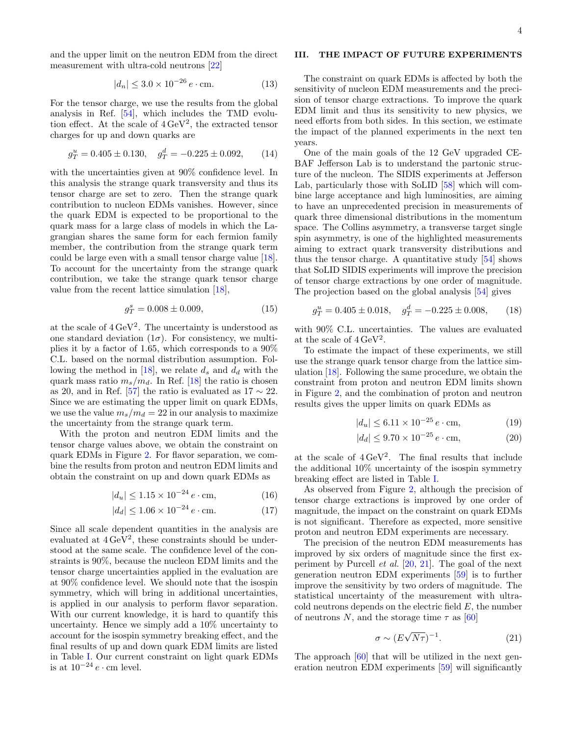and the upper limit on the neutron EDM from the direct measurement with ultra-cold neutrons [\[22\]](#page-7-4)

$$
|d_n| \le 3.0 \times 10^{-26} e \cdot \text{cm}.
$$
 (13)

For the tensor charge, we use the results from the global analysis in Ref. [\[54\]](#page-7-21), which includes the TMD evolution effect. At the scale of  $4 \,\text{GeV}^2$ , the extracted tensor charges for up and down quarks are

$$
g_T^u = 0.405 \pm 0.130, \quad g_T^d = -0.225 \pm 0.092, \tag{14}
$$

with the uncertainties given at 90% confidence level. In this analysis the strange quark transversity and thus its tensor charge are set to zero. Then the strange quark contribution to nucleon EDMs vanishes. However, since the quark EDM is expected to be proportional to the quark mass for a large class of models in which the Lagrangian shares the same form for each fermion family member, the contribution from the strange quark term could be large even with a small tensor charge value [\[18\]](#page-7-0). To account for the uncertainty from the strange quark contribution, we take the strange quark tensor charge value from the recent lattice simulation [\[18\]](#page-7-0),

$$
g_T^s = 0.008 \pm 0.009,\tag{15}
$$

at the scale of  $4 \,\mathrm{GeV}^2$ . The uncertainty is understood as one standard deviation  $(1\sigma)$ . For consistency, we multiplies it by a factor of 1.65, which corresponds to a 90% C.L. based on the normal distribution assumption. Fol-lowing the method in [\[18\]](#page-7-0), we relate  $d_s$  and  $d_d$  with the quark mass ratio  $m_s/m_d$ . In Ref. [\[18\]](#page-7-0) the ratio is chosen as 20, and in Ref. [\[57\]](#page-7-40) the ratio is evaluated as  $17 \sim 22$ . Since we are estimating the upper limit on quark EDMs, we use the value  $m_s/m_d = 22$  in our analysis to maximize the uncertainty from the strange quark term.

With the proton and neutron EDM limits and the tensor charge values above, we obtain the constraint on quark EDMs in Figure [2.](#page-4-0) For flavor separation, we combine the results from proton and neutron EDM limits and obtain the constraint on up and down quark EDMs as

$$
|d_u| \le 1.15 \times 10^{-24} \, e \cdot \text{cm},\tag{16}
$$

$$
|d_d| \le 1.06 \times 10^{-24} e \cdot \text{cm}.
$$
 (17)

Since all scale dependent quantities in the analysis are evaluated at  $4 \text{ GeV}^2$ , these constraints should be understood at the same scale. The confidence level of the constraints is 90%, because the nucleon EDM limits and the tensor charge uncertainties applied in the evaluation are at 90% confidence level. We should note that the isospin symmetry, which will bring in additional uncertainties, is applied in our analysis to perform flavor separation. With our current knowledge, it is hard to quantify this uncertainty. Hence we simply add a 10% uncertainty to account for the isospin symmetry breaking effect, and the final results of up and down quark EDM limits are listed in Table [I.](#page-5-0) Our current constraint on light quark EDMs is at  $10^{-24} e \cdot \text{cm}$  level.

## III. THE IMPACT OF FUTURE EXPERIMENTS

The constraint on quark EDMs is affected by both the sensitivity of nucleon EDM measurements and the precision of tensor charge extractions. To improve the quark EDM limit and thus its sensitivity to new physics, we need efforts from both sides. In this section, we estimate the impact of the planned experiments in the next ten years.

One of the main goals of the 12 GeV upgraded CE-BAF Jefferson Lab is to understand the partonic structure of the nucleon. The SIDIS experiments at Jefferson Lab, particularly those with SoLID [\[58\]](#page-7-41) which will combine large acceptance and high luminosities, are aiming to have an unprecedented precision in measurements of quark three dimensional distributions in the momentum space. The Collins asymmetry, a transverse target single spin asymmetry, is one of the highlighted measurements aiming to extract quark transversity distributions and thus the tensor charge. A quantitative study [\[54\]](#page-7-21) shows that SoLID SIDIS experiments will improve the precision of tensor charge extractions by one order of magnitude. The projection based on the global analysis [\[54\]](#page-7-21) gives

$$
g_T^u = 0.405 \pm 0.018, \quad g_T^d = -0.225 \pm 0.008,\tag{18}
$$

with 90% C.L. uncertainties. The values are evaluated at the scale of  $4 \,\mathrm{GeV^2}$ .

To estimate the impact of these experiments, we still use the strange quark tensor charge from the lattice simulation [\[18\]](#page-7-0). Following the same procedure, we obtain the constraint from proton and neutron EDM limits shown in Figure [2,](#page-4-0) and the combination of proton and neutron results gives the upper limits on quark EDMs as

$$
|d_u| \le 6.11 \times 10^{-25} e \cdot \text{cm},\tag{19}
$$

$$
|d_d| \le 9.70 \times 10^{-25} e \cdot \text{cm},\tag{20}
$$

at the scale of  $4 \text{ GeV}^2$ . The final results that include the additional 10% uncertainty of the isospin symmetry breaking effect are listed in Table [I.](#page-5-0)

As observed from Figure [2,](#page-4-0) although the precision of tensor charge extractions is improved by one order of magnitude, the impact on the constraint on quark EDMs is not significant. Therefore as expected, more sensitive proton and neutron EDM experiments are necessary.

The precision of the neutron EDM measurements has improved by six orders of magnitude since the first experiment by Purcell et al. [\[20,](#page-7-2) [21\]](#page-7-3). The goal of the next generation neutron EDM experiments [\[59\]](#page-7-42) is to further improve the sensitivity by two orders of magnitude. The statistical uncertainty of the measurement with ultracold neutrons depends on the electric field  $E$ , the number of neutrons N, and the storage time  $\tau$  as [\[60\]](#page-7-43)

$$
\sigma \sim (E\sqrt{N\tau})^{-1}.
$$
 (21)

The approach [\[60\]](#page-7-43) that will be utilized in the next generation neutron EDM experiments [\[59\]](#page-7-42) will significantly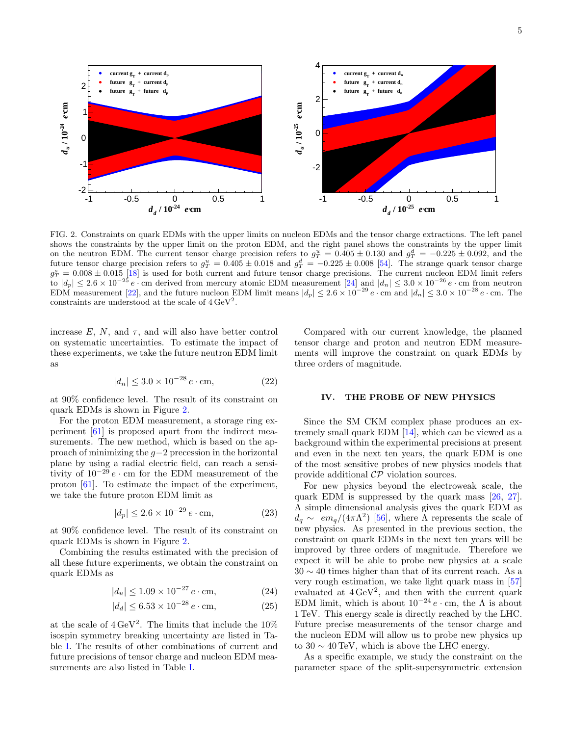

<span id="page-4-0"></span>FIG. 2. Constraints on quark EDMs with the upper limits on nucleon EDMs and the tensor charge extractions. The left panel shows the constraints by the upper limit on the proton EDM, and the right panel shows the constraints by the upper limit on the neutron EDM. The current tensor charge precision refers to  $g_T^u = 0.405 \pm 0.130$  and  $g_T^d = -0.225 \pm 0.092$ , and the future tensor charge precision refers to  $g_T^u = 0.405 \pm 0.018$  and  $g_T^d = -0.225 \pm 0.008$  [\[54\]](#page-7-21). The strange quark tensor charge  $g_T^s = 0.008 \pm 0.015$  [\[18\]](#page-7-0) is used for both current and future tensor charge precisions. The current nucleon EDM limit refers to  $|d_p| \leq 2.6 \times 10^{-25} e \cdot \text{cm}$  derived from mercury atomic EDM measurement [\[24\]](#page-7-6) and  $|d_n| \leq 3.0 \times 10^{-26} e \cdot \text{cm}$  from neutron EDM measurement [\[22\]](#page-7-4), and the future nucleon EDM limit means  $|d_p| \leq 2.6 \times 10^{-29} e \cdot \text{cm}$  and  $|d_n| \leq 3.0 \times 10^{-28} e \cdot \text{cm}$ . The constraints are understood at the scale of  $4 \,\mathrm{GeV}^2$ .

increase  $E$ ,  $N$ , and  $\tau$ , and will also have better control on systematic uncertainties. To estimate the impact of these experiments, we take the future neutron EDM limit as

$$
|d_n| \le 3.0 \times 10^{-28} e \cdot \text{cm},\tag{22}
$$

at 90% confidence level. The result of its constraint on quark EDMs is shown in Figure [2.](#page-4-0)

For the proton EDM measurement, a storage ring experiment [\[61\]](#page-7-44) is proposed apart from the indirect measurements. The new method, which is based on the approach of minimizing the g−2 precession in the horizontal plane by using a radial electric field, can reach a sensitivity of  $10^{-29} e \cdot$  cm for the EDM measurement of the proton [\[61\]](#page-7-44). To estimate the impact of the experiment, we take the future proton EDM limit as

$$
|d_p| \le 2.6 \times 10^{-29} e \cdot \text{cm},\tag{23}
$$

at 90% confidence level. The result of its constraint on quark EDMs is shown in Figure [2.](#page-4-0)

Combining the results estimated with the precision of all these future experiments, we obtain the constraint on quark EDMs as

$$
|d_u| \le 1.09 \times 10^{-27} e \cdot \text{cm},\tag{24}
$$

$$
|d_d| \le 6.53 \times 10^{-28} e \cdot \text{cm},\tag{25}
$$

at the scale of  $4 \text{ GeV}^2$ . The limits that include the 10% isospin symmetry breaking uncertainty are listed in Table [I.](#page-5-0) The results of other combinations of current and future precisions of tensor charge and nucleon EDM measurements are also listed in Table [I.](#page-5-0)

Compared with our current knowledge, the planned tensor charge and proton and neutron EDM measurements will improve the constraint on quark EDMs by three orders of magnitude.

#### IV. THE PROBE OF NEW PHYSICS

Since the SM CKM complex phase produces an extremely small quark EDM [\[14\]](#page-6-10), which can be viewed as a background within the experimental precisions at present and even in the next ten years, the quark EDM is one of the most sensitive probes of new physics models that provide additional CP violation sources.

For new physics beyond the electroweak scale, the quark EDM is suppressed by the quark mass [\[26,](#page-7-8) [27\]](#page-7-9). A simple dimensional analysis gives the quark EDM as  $d_q \sim \epsilon m_q/(4\pi\Lambda^2)$  [\[56\]](#page-7-45), where  $\Lambda$  represents the scale of new physics. As presented in the previous section, the constraint on quark EDMs in the next ten years will be improved by three orders of magnitude. Therefore we expect it will be able to probe new physics at a scale  $30 \sim 40$  times higher than that of its current reach. As a very rough estimation, we take light quark mass in [\[57\]](#page-7-40) evaluated at  $4 \text{ GeV}^2$ , and then with the current quark EDM limit, which is about  $10^{-24} e \cdot$  cm, the  $\Lambda$  is about 1 TeV. This energy scale is directly reached by the LHC. Future precise measurements of the tensor charge and the nucleon EDM will allow us to probe new physics up to  $30 \sim 40 \,\text{TeV}$ , which is above the LHC energy.

As a specific example, we study the constraint on the parameter space of the split-supersymmetric extension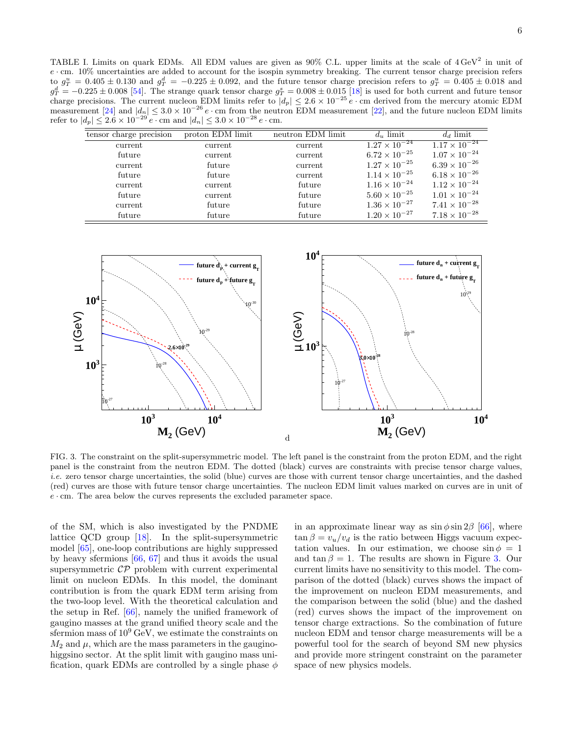<span id="page-5-0"></span>TABLE I. Limits on quark EDMs. All EDM values are given as  $90\%$  C.L. upper limits at the scale of  $4 \text{ GeV}^2$  in unit of  $e \cdot$  cm. 10% uncertainties are added to account for the isospin symmetry breaking. The current tensor charge precision refers to  $g_T^u = 0.405 \pm 0.130$  and  $g_T^d = -0.225 \pm 0.092$ , and the future tensor charge precision refers to  $g_T^u = 0.405 \pm 0.018$  and  $g_T^d = -0.225 \pm 0.008$  [\[54\]](#page-7-21). The strange quark tensor charge  $g_T^s = 0.008 \pm 0.015$  [\[18\]](#page-7-0) is used for both current and future tensor charge precisions. The current nucleon EDM limits refer to  $|d_p| \leq 2.6 \times 10^{-25} e \cdot$  cm derived from the mercury atomic EDM measurement [\[24\]](#page-7-6) and  $|d_n| \leq 3.0 \times 10^{-26} e \cdot$  cm from the neutron EDM measurement [\[22\]](#page-7-4), and the future nucleon EDM limits refer to  $|d_p| \le 2.6 \times 10^{-29} e \cdot \text{cm}$  and  $|d_n| \le 3.0 \times 10^{-28} e \cdot \text{cm}$ .

| tensor charge precision | proton EDM limit | neutron EDM limit | $d_u$ limit            | $d_d$ limit                       |
|-------------------------|------------------|-------------------|------------------------|-----------------------------------|
| current                 | current          | current           | $1.27 \times 10^{-24}$ | $\overline{1.17 \times 10^{-24}}$ |
| future                  | current          | current           | $6.72 \times 10^{-25}$ | $1.07 \times 10^{-24}$            |
| current                 | future           | current           | $1.27 \times 10^{-25}$ | $6.39 \times 10^{-26}$            |
| future                  | future           | current           | $1.14 \times 10^{-25}$ | $6.18 \times 10^{-26}$            |
| current                 | current          | future            | $1.16 \times 10^{-24}$ | $1.12 \times 10^{-24}$            |
| future                  | current          | future            | $5.60 \times 10^{-25}$ | $1.01 \times 10^{-24}$            |
| current                 | future           | future            | $1.36 \times 10^{-27}$ | $7.41 \times 10^{-28}$            |
| future                  | future           | future            | $1.20 \times 10^{-27}$ | $7.18 \times 10^{-28}$            |



<span id="page-5-1"></span>FIG. 3. The constraint on the split-supersymmetric model. The left panel is the constraint from the proton EDM, and the right panel is the constraint from the neutron EDM. The dotted (black) curves are constraints with precise tensor charge values, i.e. zero tensor charge uncertainties, the solid (blue) curves are those with current tensor charge uncertainties, and the dashed (red) curves are those with future tensor charge uncertainties. The nucleon EDM limit values marked on curves are in unit of  $e \cdot$  cm. The area below the curves represents the excluded parameter space.

of the SM, which is also investigated by the PNDME lattice QCD group [\[18\]](#page-7-0). In the split-supersymmetric model [\[65\]](#page-7-46), one-loop contributions are highly suppressed by heavy sfermions [\[66,](#page-7-47) [67\]](#page-7-48) and thus it avoids the usual supersymmetric  $\mathcal{CP}$  problem with current experimental limit on nucleon EDMs. In this model, the dominant contribution is from the quark EDM term arising from the two-loop level. With the theoretical calculation and the setup in Ref. [\[66\]](#page-7-47), namely the unified framework of gaugino masses at the grand unified theory scale and the sfermion mass of  $10^9$  GeV, we estimate the constraints on  $M_2$  and  $\mu$ , which are the mass parameters in the gauginohiggsino sector. At the split limit with gaugino mass unification, quark EDMs are controlled by a single phase  $\phi$ 

in an approximate linear way as  $\sin \phi \sin 2\beta$  [\[66\]](#page-7-47), where  $\tan \beta = v_u/v_d$  is the ratio between Higgs vacuum expectation values. In our estimation, we choose  $\sin \phi = 1$ and tan  $\beta = 1$ . The results are shown in Figure [3.](#page-5-1) Our current limits have no sensitivity to this model. The comparison of the dotted (black) curves shows the impact of the improvement on nucleon EDM measurements, and the comparison between the solid (blue) and the dashed (red) curves shows the impact of the improvement on tensor charge extractions. So the combination of future nucleon EDM and tensor charge measurements will be a powerful tool for the search of beyond SM new physics and provide more stringent constraint on the parameter space of new physics models.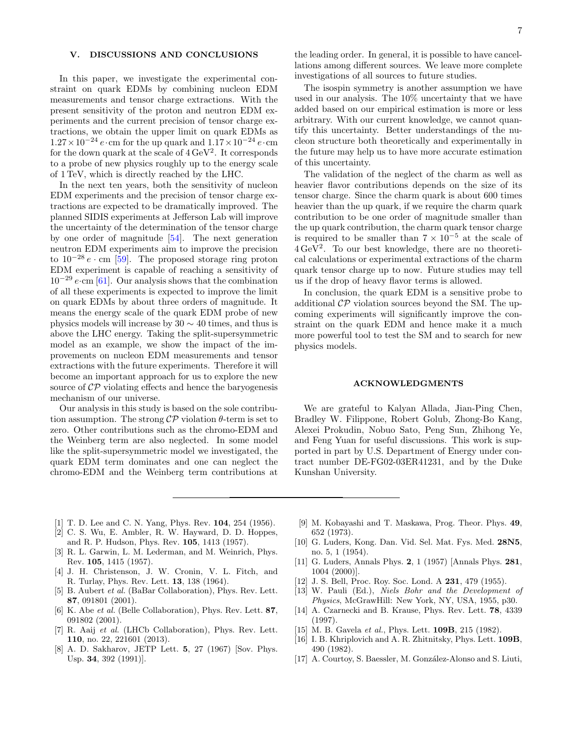### V. DISCUSSIONS AND CONCLUSIONS

In this paper, we investigate the experimental constraint on quark EDMs by combining nucleon EDM measurements and tensor charge extractions. With the present sensitivity of the proton and neutron EDM experiments and the current precision of tensor charge extractions, we obtain the upper limit on quark EDMs as  $1.27 \times 10^{-24}$  e·cm for the up quark and  $1.17 \times 10^{-24}$  e·cm for the down quark at the scale of  $4 \,\text{GeV}^2$ . It corresponds to a probe of new physics roughly up to the energy scale of 1 TeV, which is directly reached by the LHC.

In the next ten years, both the sensitivity of nucleon EDM experiments and the precision of tensor charge extractions are expected to be dramatically improved. The planned SIDIS experiments at Jefferson Lab will improve the uncertainty of the determination of the tensor charge by one order of magnitude [\[54\]](#page-7-21). The next generation neutron EDM experiments aim to improve the precision to  $10^{-28} e \cdot \text{cm}$  [\[59\]](#page-7-42). The proposed storage ring proton EDM experiment is capable of reaching a sensitivity of  $10^{-29} e\text{·cm}$  [\[61\]](#page-7-44). Our analysis shows that the combination of all these experiments is expected to improve the limit on quark EDMs by about three orders of magnitude. It means the energy scale of the quark EDM probe of new physics models will increase by 30  $\sim$  40 times, and thus is above the LHC energy. Taking the split-supersymmetric model as an example, we show the impact of the improvements on nucleon EDM measurements and tensor extractions with the future experiments. Therefore it will become an important approach for us to explore the new source of  $\mathcal{CP}$  violating effects and hence the baryogenesis mechanism of our universe.

Our analysis in this study is based on the sole contribution assumption. The strong  $\mathcal{CP}$  violation  $\theta$ -term is set to zero. Other contributions such as the chromo-EDM and the Weinberg term are also neglected. In some model like the split-supersymmetric model we investigated, the quark EDM term dominates and one can neglect the chromo-EDM and the Weinberg term contributions at

the leading order. In general, it is possible to have cancellations among different sources. We leave more complete investigations of all sources to future studies.

The isospin symmetry is another assumption we have used in our analysis. The 10% uncertainty that we have added based on our empirical estimation is more or less arbitrary. With our current knowledge, we cannot quantify this uncertainty. Better understandings of the nucleon structure both theoretically and experimentally in the future may help us to have more accurate estimation of this uncertainty.

The validation of the neglect of the charm as well as heavier flavor contributions depends on the size of its tensor charge. Since the charm quark is about 600 times heavier than the up quark, if we require the charm quark contribution to be one order of magnitude smaller than the up quark contribution, the charm quark tensor charge is required to be smaller than  $7 \times 10^{-5}$  at the scale of  $4 \text{ GeV}^2$ . To our best knowledge, there are no theoretical calculations or experimental extractions of the charm quark tensor charge up to now. Future studies may tell us if the drop of heavy flavor terms is allowed.

In conclusion, the quark EDM is a sensitive probe to additional  $\mathcal{CP}$  violation sources beyond the SM. The upcoming experiments will significantly improve the constraint on the quark EDM and hence make it a much more powerful tool to test the SM and to search for new physics models.

## ACKNOWLEDGMENTS

We are grateful to Kalyan Allada, Jian-Ping Chen, Bradley W. Filippone, Robert Golub, Zhong-Bo Kang, Alexei Prokudin, Nobuo Sato, Peng Sun, Zhihong Ye, and Feng Yuan for useful discussions. This work is supported in part by U.S. Department of Energy under contract number DE-FG02-03ER41231, and by the Duke Kunshan University.

- <span id="page-6-0"></span>[1] T. D. Lee and C. N. Yang, Phys. Rev. 104, 254 (1956).
- <span id="page-6-1"></span>[2] C. S. Wu, E. Ambler, R. W. Hayward, D. D. Hoppes, and R. P. Hudson, Phys. Rev. 105, 1413 (1957).
- <span id="page-6-2"></span>[3] R. L. Garwin, L. M. Lederman, and M. Weinrich, Phys. Rev. 105, 1415 (1957).
- <span id="page-6-3"></span>[4] J. H. Christenson, J. W. Cronin, V. L. Fitch, and R. Turlay, Phys. Rev. Lett. 13, 138 (1964).
- <span id="page-6-4"></span>[5] B. Aubert *et al.* (BaBar Collaboration), Phys. Rev. Lett. 87, 091801 (2001).
- [6] K. Abe *et al.* (Belle Collaboration), Phys. Rev. Lett. **87**, 091802 (2001).
- <span id="page-6-5"></span>[7] R. Aaij et al. (LHCb Collaboration), Phys. Rev. Lett. 110, no. 22, 221601 (2013).
- <span id="page-6-6"></span>[8] A. D. Sakharov, JETP Lett. 5, 27 (1967) [Sov. Phys. Usp. 34, 392 (1991)].
- <span id="page-6-7"></span>[9] M. Kobayashi and T. Maskawa, Prog. Theor. Phys. 49, 652 (1973).
- <span id="page-6-8"></span>[10] G. Luders, Kong. Dan. Vid. Sel. Mat. Fys. Med. 28N5, no. 5, 1 (1954).
- [11] G. Luders, Annals Phys. 2, 1 (1957) [Annals Phys. 281, 1004 (2000)].
- [12] J. S. Bell, Proc. Roy. Soc. Lond. A **231**, 479 (1955).
- <span id="page-6-9"></span>[13] W. Pauli (Ed.), *Niels Bohr and the Development of* Physics, McGrawHill: New York, NY, USA, 1955, p30.
- <span id="page-6-10"></span>[14] A. Czarnecki and B. Krause, Phys. Rev. Lett. 78, 4339 (1997).
- [15] M. B. Gavela *et al.*, Phys. Lett. **109B**, 215 (1982).
- <span id="page-6-11"></span>[16] I. B. Khriplovich and A. R. Zhitnitsky, Phys. Lett. **109B**, 490 (1982).
- <span id="page-6-12"></span>[17] A. Courtoy, S. Baessler, M. González-Alonso and S. Liuti,